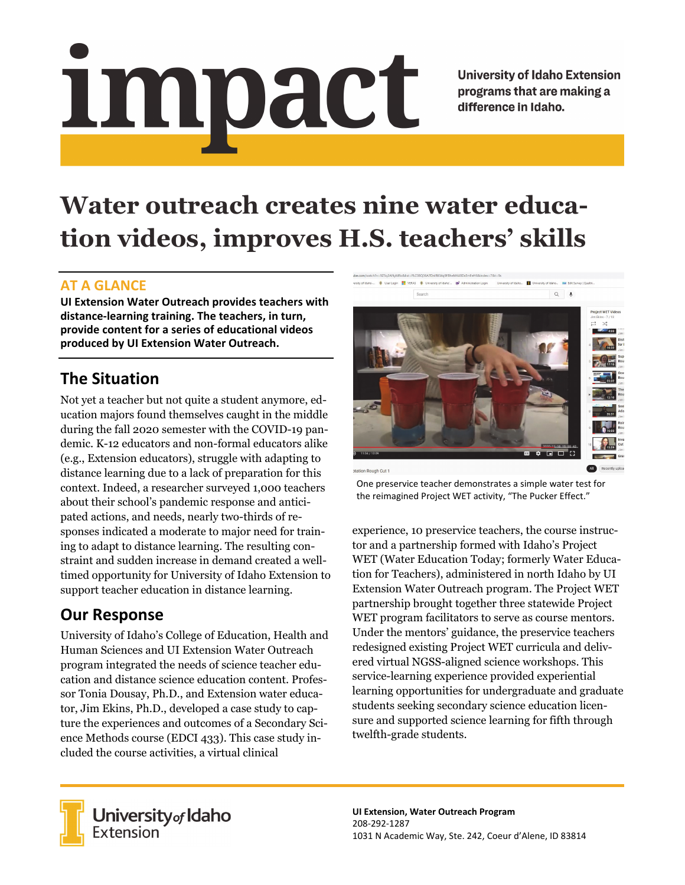# Impact

**University of Idaho Extension** programs that are making a difference in Idaho.

# **Water outreach creates nine water education videos, improves H.S. teachers' skills**

#### **AT A GLANCE**

**UI Extension Water Outreach provides teachers with distance‐learning training. The teachers, in turn, provide content for a series of educational videos produced by UI Extension Water Outreach.**

# **The Situation**

Not yet a teacher but not quite a student anymore, education majors found themselves caught in the middle during the fall 2020 semester with the COVID-19 pandemic. K-12 educators and non-formal educators alike (e.g., Extension educators), struggle with adapting to distance learning due to a lack of preparation for this context. Indeed, a researcher surveyed 1,000 teachers about their school's pandemic response and anticipated actions, and needs, nearly two-thirds of responses indicated a moderate to major need for training to adapt to distance learning. The resulting constraint and sudden increase in demand created a welltimed opportunity for University of Idaho Extension to support teacher education in distance learning.

## **Our Response**

University of Idaho's College of Education, Health and Human Sciences and UI Extension Water Outreach program integrated the needs of science teacher education and distance science education content. Professor Tonia Dousay, Ph.D., and Extension water educator, Jim Ekins, Ph.D., developed a case study to capture the experiences and outcomes of a Secondary Science Methods course (EDCI 433). This case study included the course activities, a virtual clinical



One preservice teacher demonstrates a simple water test for the reimagined Project WET activity, "The Pucker Effect."

experience, 10 preservice teachers, the course instructor and a partnership formed with Idaho's Project WET (Water Education Today; formerly Water Education for Teachers), administered in north Idaho by UI Extension Water Outreach program. The Project WET partnership brought together three statewide Project WET program facilitators to serve as course mentors. Under the mentors' guidance, the preservice teachers redesigned existing Project WET curricula and delivered virtual NGSS-aligned science workshops. This service-learning experience provided experiential learning opportunities for undergraduate and graduate students seeking secondary science education licensure and supported science learning for fifth through twelfth-grade students.



**University** of Idaho<br>Extension

**UI Extension, Water Outreach Program** 208‐292‐1287 1031 N Academic Way, Ste. 242, Coeur d'Alene, ID 83814